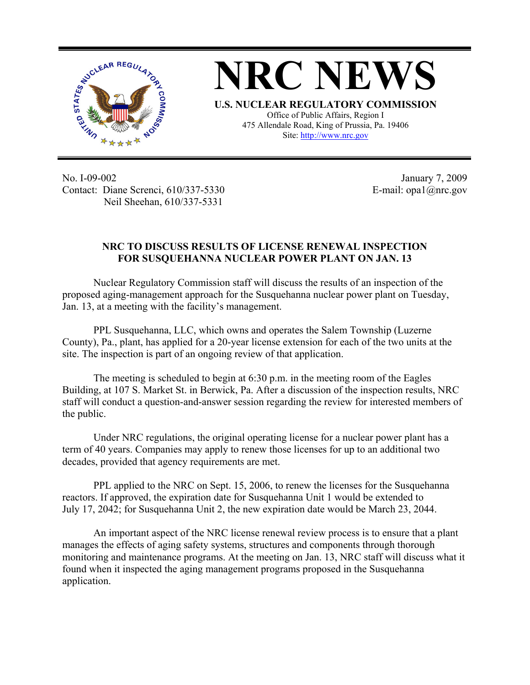

**NRC NEWS U.S. NUCLEAR REGULATORY COMMISSION** Office of Public Affairs, Region I

475 Allendale Road, King of Prussia, Pa. 19406 Site: http://www.nrc.gov

No. I-09-002 Contact: Diane Screnci, 610/337-5330 Neil Sheehan, 610/337-5331

 January 7, 2009 E-mail: opa1@nrc.gov

## **NRC TO DISCUSS RESULTS OF LICENSE RENEWAL INSPECTION FOR SUSQUEHANNA NUCLEAR POWER PLANT ON JAN. 13**

Nuclear Regulatory Commission staff will discuss the results of an inspection of the proposed aging-management approach for the Susquehanna nuclear power plant on Tuesday, Jan. 13, at a meeting with the facility's management.

PPL Susquehanna, LLC, which owns and operates the Salem Township (Luzerne County), Pa., plant, has applied for a 20-year license extension for each of the two units at the site. The inspection is part of an ongoing review of that application.

The meeting is scheduled to begin at 6:30 p.m. in the meeting room of the Eagles Building, at 107 S. Market St. in Berwick, Pa. After a discussion of the inspection results, NRC staff will conduct a question-and-answer session regarding the review for interested members of the public.

Under NRC regulations, the original operating license for a nuclear power plant has a term of 40 years. Companies may apply to renew those licenses for up to an additional two decades, provided that agency requirements are met.

PPL applied to the NRC on Sept. 15, 2006, to renew the licenses for the Susquehanna reactors. If approved, the expiration date for Susquehanna Unit 1 would be extended to July 17, 2042; for Susquehanna Unit 2, the new expiration date would be March 23, 2044.

An important aspect of the NRC license renewal review process is to ensure that a plant manages the effects of aging safety systems, structures and components through thorough monitoring and maintenance programs. At the meeting on Jan. 13, NRC staff will discuss what it found when it inspected the aging management programs proposed in the Susquehanna application.